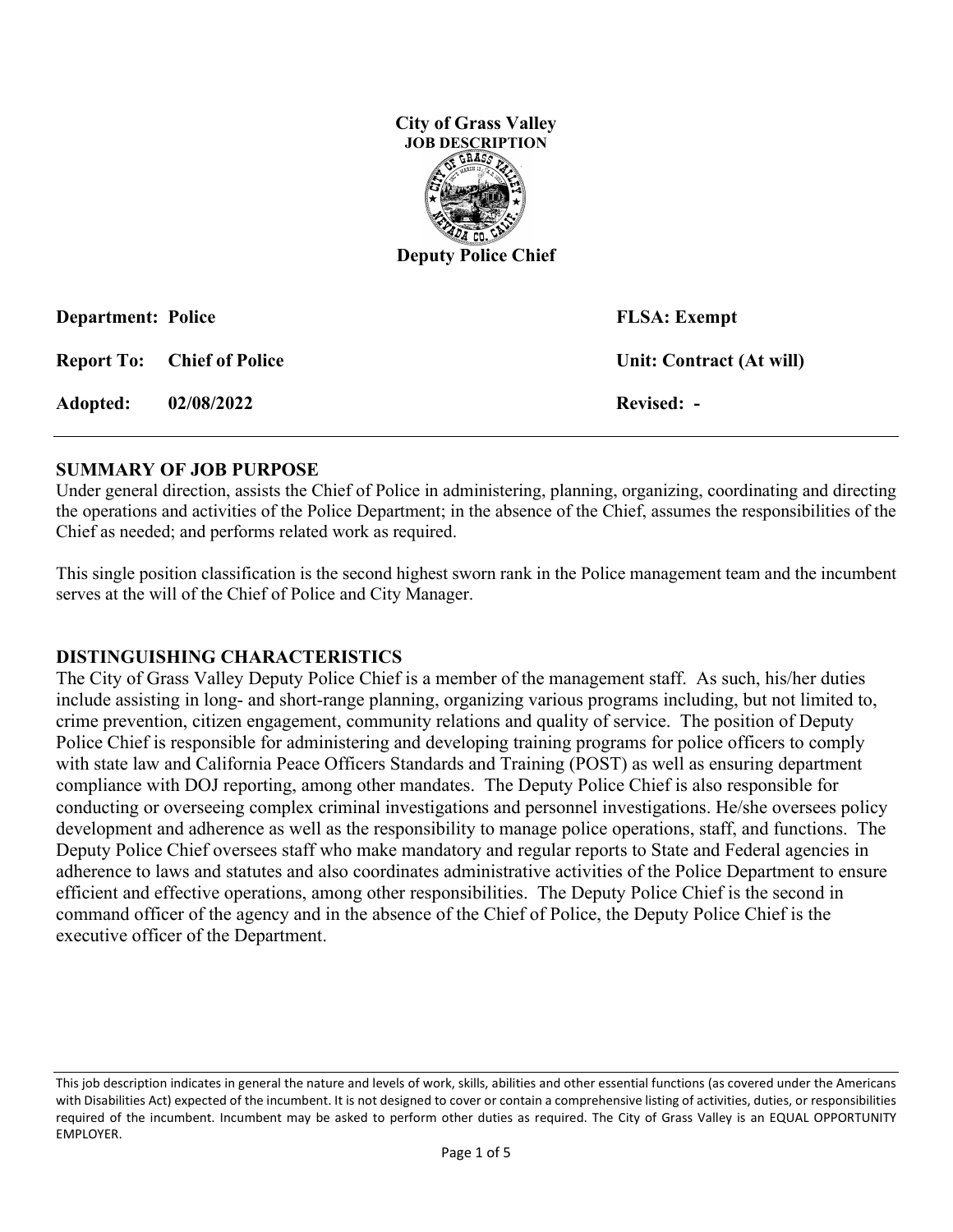

| <b>Department: Police</b> |                                   | <b>FLSA</b> : Exempt     |
|---------------------------|-----------------------------------|--------------------------|
|                           | <b>Report To:</b> Chief of Police | Unit: Contract (At will) |
| <b>Adopted:</b>           | 02/08/2022                        | Revised: -               |

#### **SUMMARY OF JOB PURPOSE**

Under general direction, assists the Chief of Police in administering, planning, organizing, coordinating and directing the operations and activities of the Police Department; in the absence of the Chief, assumes the responsibilities of the Chief as needed; and performs related work as required.

This single position classification is the second highest sworn rank in the Police management team and the incumbent serves at the will of the Chief of Police and City Manager.

#### **DISTINGUISHING CHARACTERISTICS**

The City of Grass Valley Deputy Police Chief is a member of the management staff. As such, his/her duties include assisting in long- and short-range planning, organizing various programs including, but not limited to, crime prevention, citizen engagement, community relations and quality of service. The position of Deputy Police Chief is responsible for administering and developing training programs for police officers to comply with state law and California Peace Officers Standards and Training (POST) as well as ensuring department compliance with DOJ reporting, among other mandates. The Deputy Police Chief is also responsible for conducting or overseeing complex criminal investigations and personnel investigations. He/she oversees policy development and adherence as well as the responsibility to manage police operations, staff, and functions. The Deputy Police Chief oversees staff who make mandatory and regular reports to State and Federal agencies in adherence to laws and statutes and also coordinates administrative activities of the Police Department to ensure efficient and effective operations, among other responsibilities. The Deputy Police Chief is the second in command officer of the agency and in the absence of the Chief of Police, the Deputy Police Chief is the executive officer of the Department.

This job description indicates in general the nature and levels of work, skills, abilities and other essential functions (as covered under the Americans with Disabilities Act) expected of the incumbent. It is not designed to cover or contain a comprehensive listing of activities, duties, or responsibilities required of the incumbent. Incumbent may be asked to perform other duties as required. The City of Grass Valley is an EQUAL OPPORTUNITY EMPLOYER.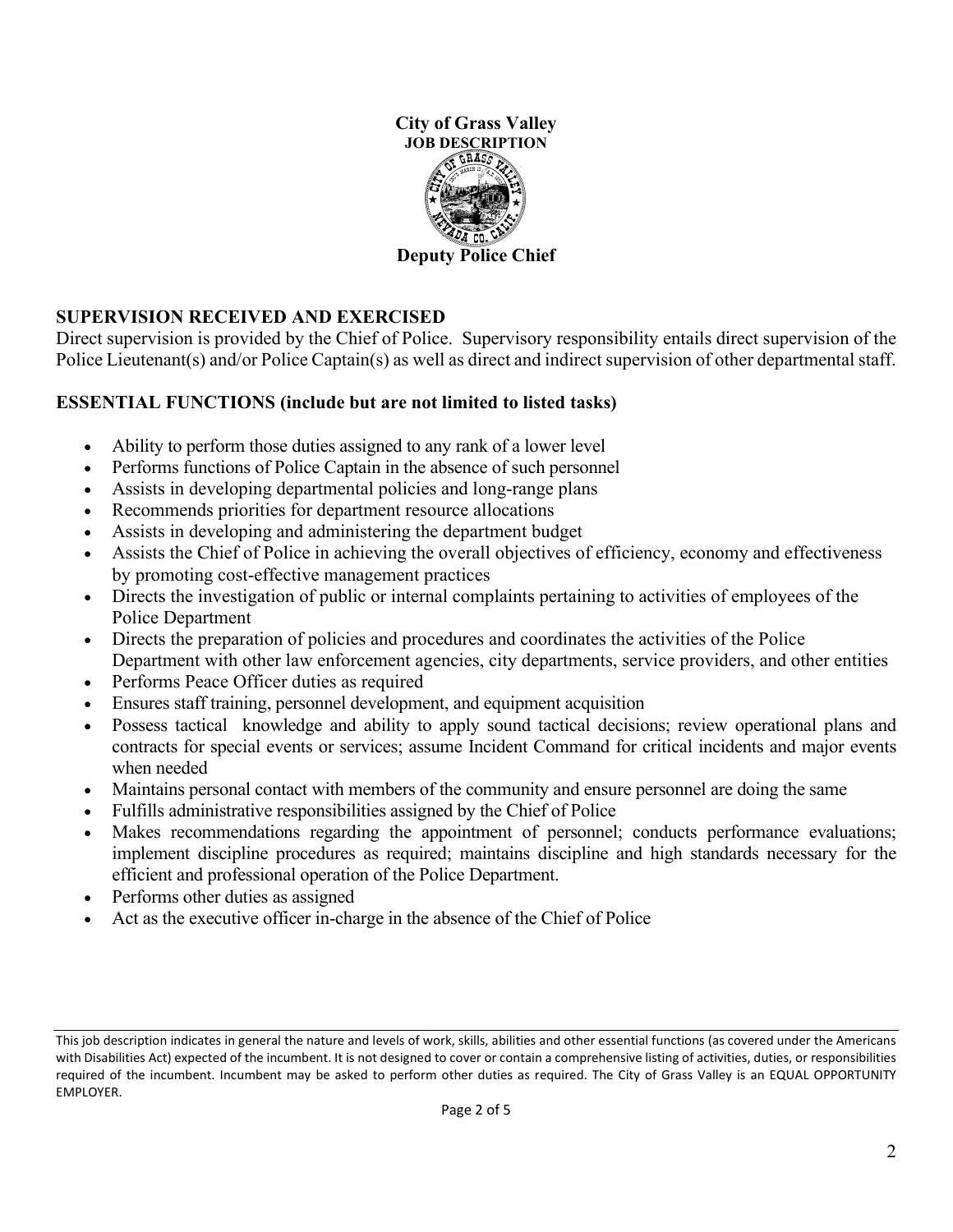

## **SUPERVISION RECEIVED AND EXERCISED**

Direct supervision is provided by the Chief of Police. Supervisory responsibility entails direct supervision of the Police Lieutenant(s) and/or Police Captain(s) as well as direct and indirect supervision of other departmental staff.

## **ESSENTIAL FUNCTIONS (include but are not limited to listed tasks)**

- Ability to perform those duties assigned to any rank of a lower level
- Performs functions of Police Captain in the absence of such personnel
- Assists in developing departmental policies and long-range plans
- Recommends priorities for department resource allocations
- Assists in developing and administering the department budget
- Assists the Chief of Police in achieving the overall objectives of efficiency, economy and effectiveness by promoting cost-effective management practices
- Directs the investigation of public or internal complaints pertaining to activities of employees of the Police Department
- Directs the preparation of policies and procedures and coordinates the activities of the Police Department with other law enforcement agencies, city departments, service providers, and other entities
- Performs Peace Officer duties as required
- Ensures staff training, personnel development, and equipment acquisition
- Possess tactical knowledge and ability to apply sound tactical decisions; review operational plans and contracts for special events or services; assume Incident Command for critical incidents and major events when needed
- Maintains personal contact with members of the community and ensure personnel are doing the same
- Fulfills administrative responsibilities assigned by the Chief of Police
- Makes recommendations regarding the appointment of personnel; conducts performance evaluations; implement discipline procedures as required; maintains discipline and high standards necessary for the efficient and professional operation of the Police Department.
- Performs other duties as assigned
- Act as the executive officer in-charge in the absence of the Chief of Police

This job description indicates in general the nature and levels of work, skills, abilities and other essential functions (as covered under the Americans with Disabilities Act) expected of the incumbent. It is not designed to cover or contain a comprehensive listing of activities, duties, or responsibilities required of the incumbent. Incumbent may be asked to perform other duties as required. The City of Grass Valley is an EQUAL OPPORTUNITY EMPLOYER.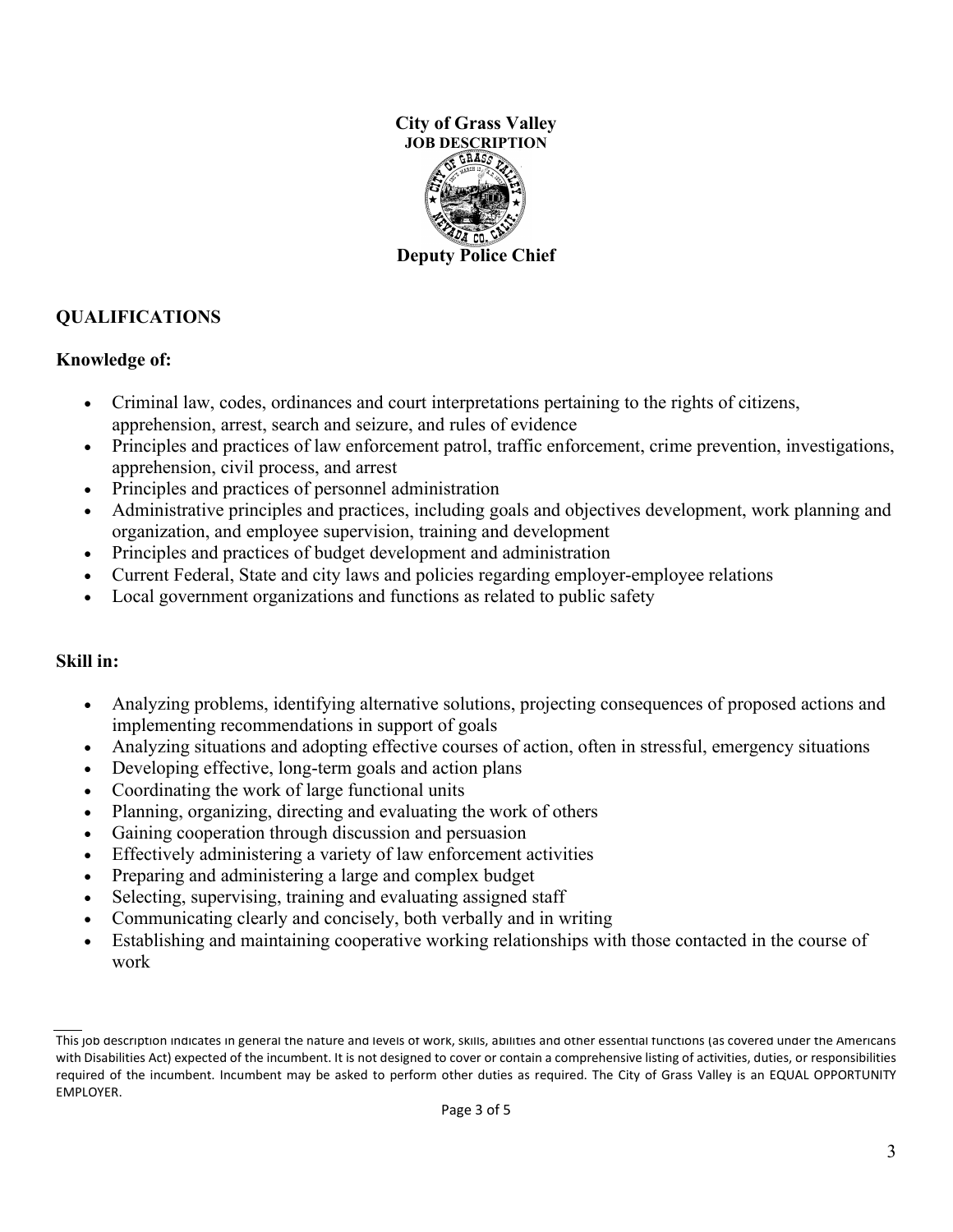

# **QUALIFICATIONS**

### **Knowledge of:**

- Criminal law, codes, ordinances and court interpretations pertaining to the rights of citizens, apprehension, arrest, search and seizure, and rules of evidence
- Principles and practices of law enforcement patrol, traffic enforcement, crime prevention, investigations, apprehension, civil process, and arrest
- Principles and practices of personnel administration
- Administrative principles and practices, including goals and objectives development, work planning and organization, and employee supervision, training and development
- Principles and practices of budget development and administration
- Current Federal, State and city laws and policies regarding employer-employee relations
- Local government organizations and functions as related to public safety

#### **Skill in:**

- Analyzing problems, identifying alternative solutions, projecting consequences of proposed actions and implementing recommendations in support of goals
- Analyzing situations and adopting effective courses of action, often in stressful, emergency situations
- Developing effective, long-term goals and action plans
- Coordinating the work of large functional units
- Planning, organizing, directing and evaluating the work of others
- Gaining cooperation through discussion and persuasion
- Effectively administering a variety of law enforcement activities
- Preparing and administering a large and complex budget
- Selecting, supervising, training and evaluating assigned staff
- Communicating clearly and concisely, both verbally and in writing
- Establishing and maintaining cooperative working relationships with those contacted in the course of work

This job description indicates in general the nature and levels of work, skills, abilities and other essential functions (as covered under the Americans with Disabilities Act) expected of the incumbent. It is not designed to cover or contain a comprehensive listing of activities, duties, or responsibilities required of the incumbent. Incumbent may be asked to perform other duties as required. The City of Grass Valley is an EQUAL OPPORTUNITY EMPLOYER.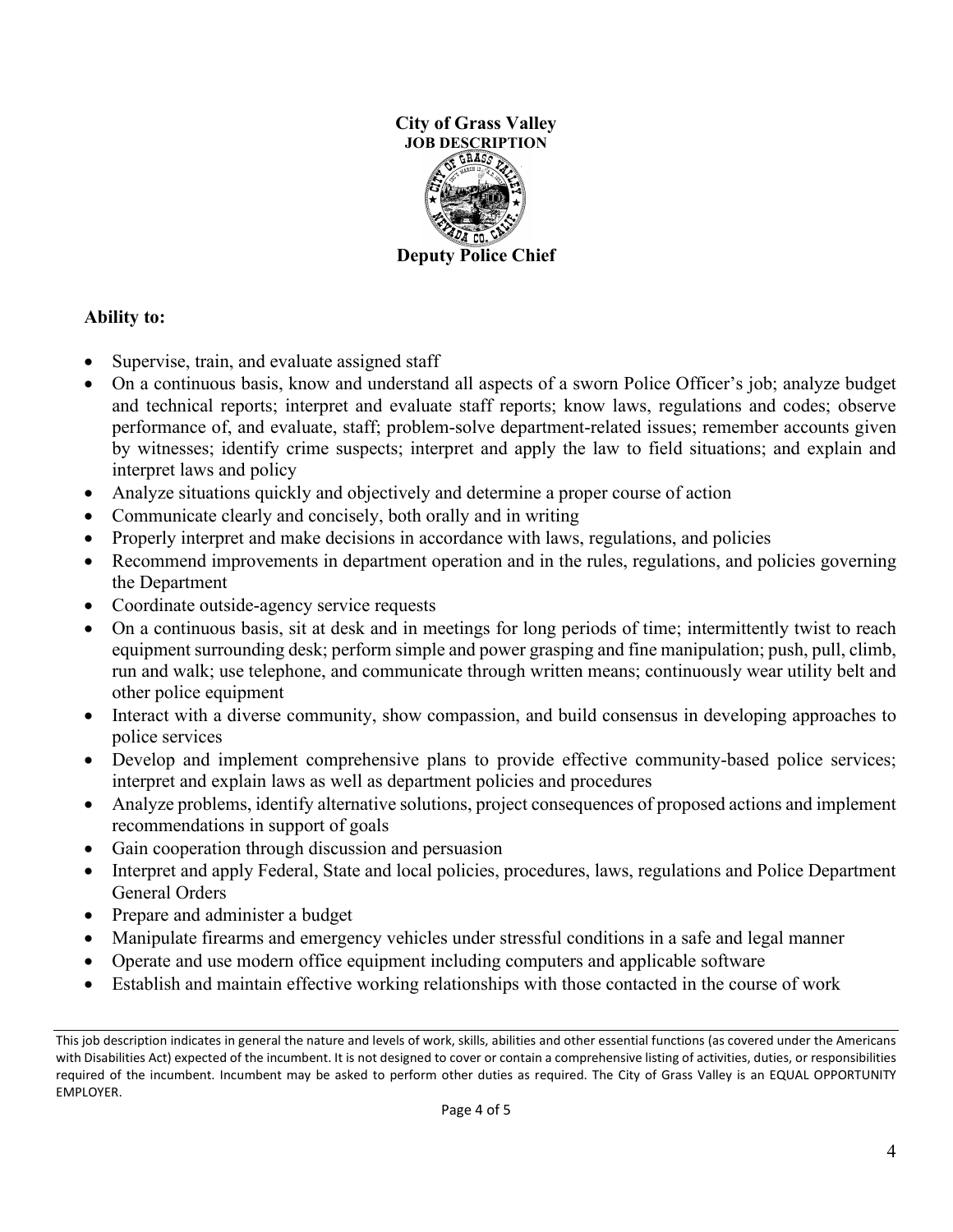

## **Ability to:**

- Supervise, train, and evaluate assigned staff
- On a continuous basis, know and understand all aspects of a sworn Police Officer's job; analyze budget and technical reports; interpret and evaluate staff reports; know laws, regulations and codes; observe performance of, and evaluate, staff; problem-solve department-related issues; remember accounts given by witnesses; identify crime suspects; interpret and apply the law to field situations; and explain and interpret laws and policy
- Analyze situations quickly and objectively and determine a proper course of action
- Communicate clearly and concisely, both orally and in writing
- Properly interpret and make decisions in accordance with laws, regulations, and policies
- Recommend improvements in department operation and in the rules, regulations, and policies governing the Department
- Coordinate outside-agency service requests
- On a continuous basis, sit at desk and in meetings for long periods of time; intermittently twist to reach equipment surrounding desk; perform simple and power grasping and fine manipulation; push, pull, climb, run and walk; use telephone, and communicate through written means; continuously wear utility belt and other police equipment
- Interact with a diverse community, show compassion, and build consensus in developing approaches to police services
- Develop and implement comprehensive plans to provide effective community-based police services; interpret and explain laws as well as department policies and procedures
- Analyze problems, identify alternative solutions, project consequences of proposed actions and implement recommendations in support of goals
- Gain cooperation through discussion and persuasion
- Interpret and apply Federal, State and local policies, procedures, laws, regulations and Police Department General Orders
- Prepare and administer a budget
- Manipulate firearms and emergency vehicles under stressful conditions in a safe and legal manner
- Operate and use modern office equipment including computers and applicable software
- Establish and maintain effective working relationships with those contacted in the course of work

This job description indicates in general the nature and levels of work, skills, abilities and other essential functions (as covered under the Americans with Disabilities Act) expected of the incumbent. It is not designed to cover or contain a comprehensive listing of activities, duties, or responsibilities required of the incumbent. Incumbent may be asked to perform other duties as required. The City of Grass Valley is an EQUAL OPPORTUNITY EMPLOYER.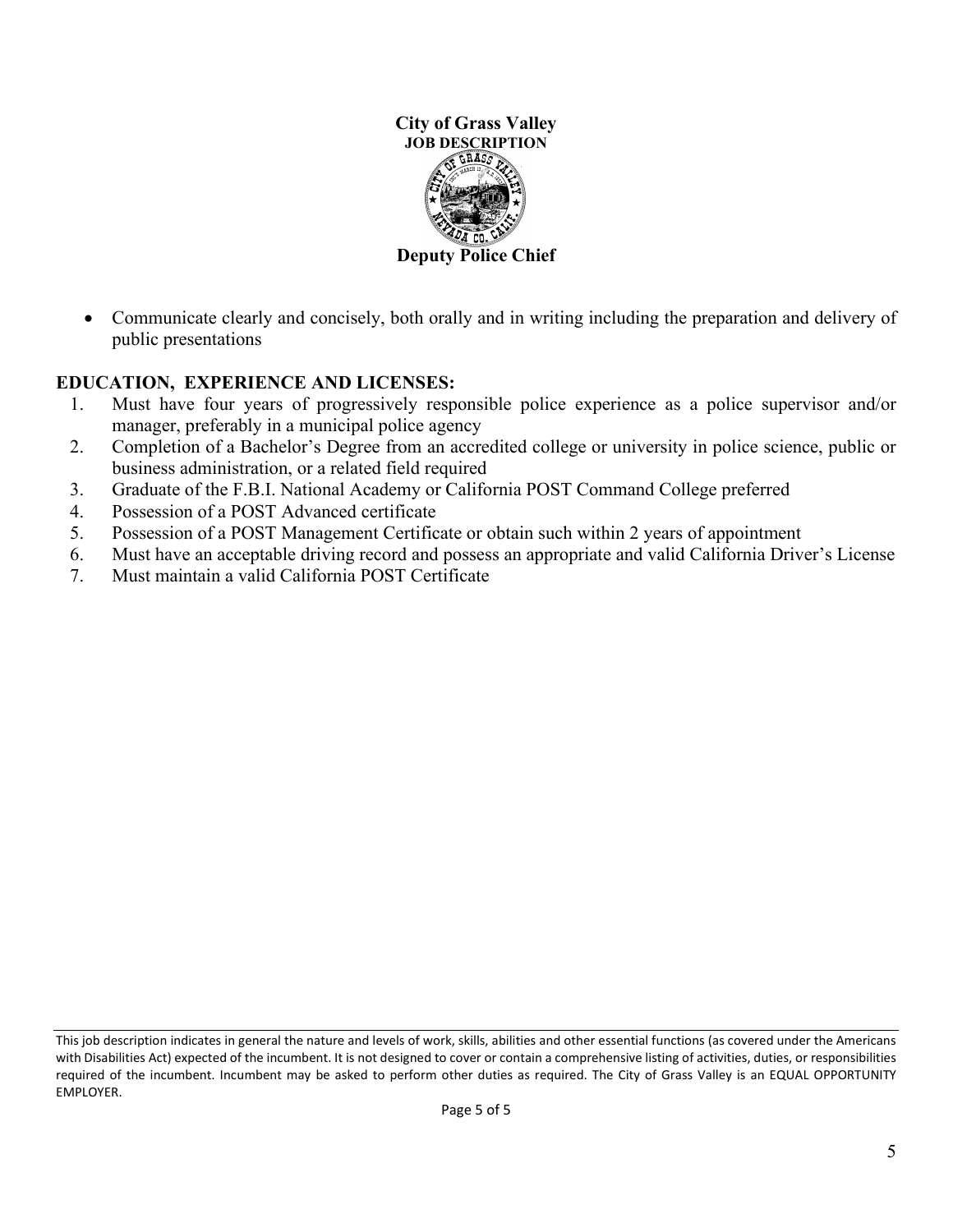

• Communicate clearly and concisely, both orally and in writing including the preparation and delivery of public presentations

# **EDUCATION, EXPERIENCE AND LICENSES:**

- 1. Must have four years of progressively responsible police experience as a police supervisor and/or manager, preferably in a municipal police agency
- 2. Completion of a Bachelor's Degree from an accredited college or university in police science, public or business administration, or a related field required
- 3. Graduate of the F.B.I. National Academy or California POST Command College preferred
- 4. Possession of a POST Advanced certificate
- 5. Possession of a POST Management Certificate or obtain such within 2 years of appointment
- 6. Must have an acceptable driving record and possess an appropriate and valid California Driver's License
- 7. Must maintain a valid California POST Certificate

This job description indicates in general the nature and levels of work, skills, abilities and other essential functions (as covered under the Americans with Disabilities Act) expected of the incumbent. It is not designed to cover or contain a comprehensive listing of activities, duties, or responsibilities required of the incumbent. Incumbent may be asked to perform other duties as required. The City of Grass Valley is an EQUAL OPPORTUNITY EMPLOYER.